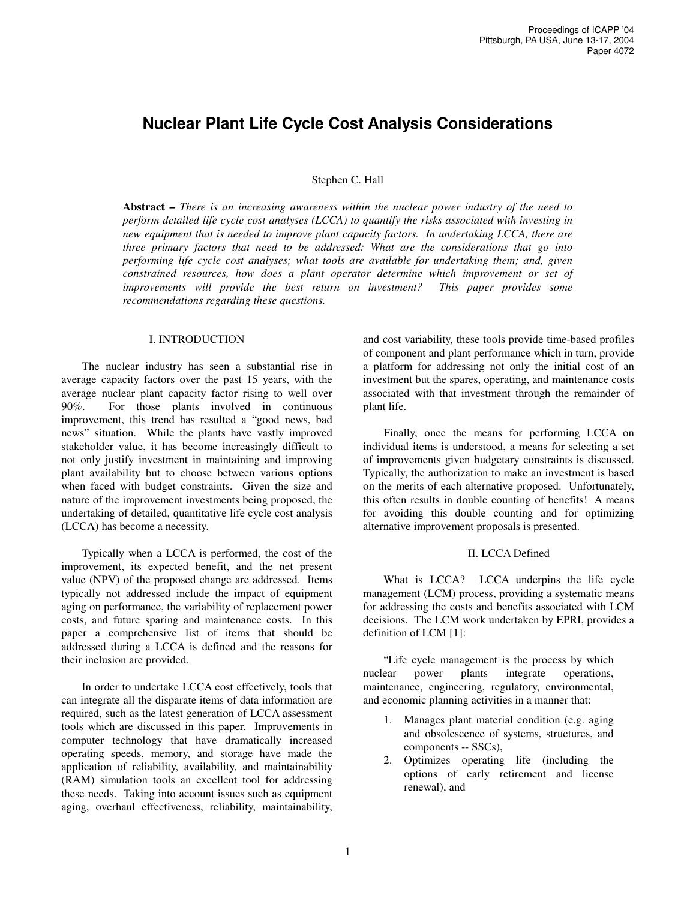# **Nuclear Plant Life Cycle Cost Analysis Considerations**

#### Stephen C. Hall

**Abstract –** *There is an increasing awareness within the nuclear power industry of the need to perform detailed life cycle cost analyses (LCCA) to quantify the risks associated with investing in new equipment that is needed to improve plant capacity factors. In undertaking LCCA, there are three primary factors that need to be addressed: What are the considerations that go into performing life cycle cost analyses; what tools are available for undertaking them; and, given constrained resources, how does a plant operator determine which improvement or set of improvements will provide the best return on investment? This paper provides some recommendations regarding these questions.*

#### I. INTRODUCTION

The nuclear industry has seen a substantial rise in average capacity factors over the past 15 years, with the average nuclear plant capacity factor rising to well over 90%. For those plants involved in continuous improvement, this trend has resulted a "good news, bad news" situation. While the plants have vastly improved stakeholder value, it has become increasingly difficult to not only justify investment in maintaining and improving plant availability but to choose between various options when faced with budget constraints. Given the size and nature of the improvement investments being proposed, the undertaking of detailed, quantitative life cycle cost analysis (LCCA) has become a necessity.

Typically when a LCCA is performed, the cost of the improvement, its expected benefit, and the net present value (NPV) of the proposed change are addressed. Items typically not addressed include the impact of equipment aging on performance, the variability of replacement power costs, and future sparing and maintenance costs. In this paper a comprehensive list of items that should be addressed during a LCCA is defined and the reasons for their inclusion are provided.

In order to undertake LCCA cost effectively, tools that can integrate all the disparate items of data information are required, such as the latest generation of LCCA assessment tools which are discussed in this paper. Improvements in computer technology that have dramatically increased operating speeds, memory, and storage have made the application of reliability, availability, and maintainability (RAM) simulation tools an excellent tool for addressing these needs. Taking into account issues such as equipment aging, overhaul effectiveness, reliability, maintainability,

and cost variability, these tools provide time-based profiles of component and plant performance which in turn, provide a platform for addressing not only the initial cost of an investment but the spares, operating, and maintenance costs associated with that investment through the remainder of plant life.

Finally, once the means for performing LCCA on individual items is understood, a means for selecting a set of improvements given budgetary constraints is discussed. Typically, the authorization to make an investment is based on the merits of each alternative proposed. Unfortunately, this often results in double counting of benefits! A means for avoiding this double counting and for optimizing alternative improvement proposals is presented.

#### II. LCCA Defined

What is LCCA? LCCA underpins the life cycle management (LCM) process, providing a systematic means for addressing the costs and benefits associated with LCM decisions. The LCM work undertaken by EPRI, provides a definition of LCM [1]:

"Life cycle management is the process by which nuclear power plants integrate operations, maintenance, engineering, regulatory, environmental, and economic planning activities in a manner that:

- 1. Manages plant material condition (e.g. aging and obsolescence of systems, structures, and components -- SSCs),
- 2. Optimizes operating life (including the options of early retirement and license renewal), and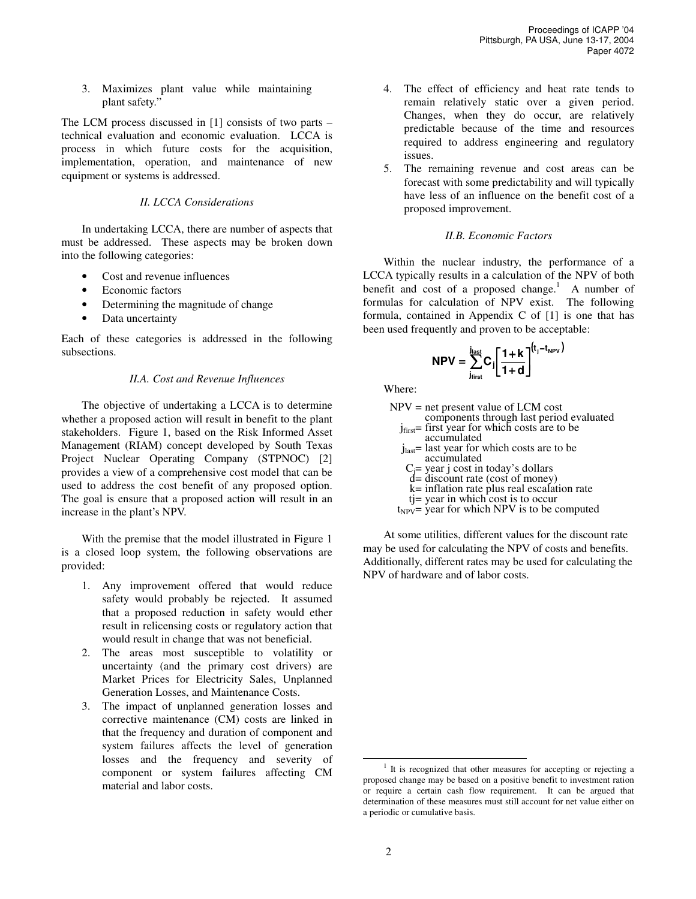3. Maximizes plant value while maintaining plant safety."

The LCM process discussed in [1] consists of two parts – technical evaluation and economic evaluation. LCCA is process in which future costs for the acquisition, implementation, operation, and maintenance of new equipment or systems is addressed.

## *II. LCCA Considerations*

In undertaking LCCA, there are number of aspects that must be addressed. These aspects may be broken down into the following categories:

- Cost and revenue influences
- Economic factors
- Determining the magnitude of change
- Data uncertainty

Each of these categories is addressed in the following subsections.

#### *II.A. Cost and Revenue Influences*

The objective of undertaking a LCCA is to determine whether a proposed action will result in benefit to the plant stakeholders. Figure 1, based on the Risk Informed Asset Management (RIAM) concept developed by South Texas Project Nuclear Operating Company (STPNOC) [2] provides a view of a comprehensive cost model that can be used to address the cost benefit of any proposed option. The goal is ensure that a proposed action will result in an increase in the plant's NPV.

With the premise that the model illustrated in Figure 1 is a closed loop system, the following observations are provided:

- 1. Any improvement offered that would reduce safety would probably be rejected. It assumed that a proposed reduction in safety would ether result in relicensing costs or regulatory action that would result in change that was not beneficial.
- 2. The areas most susceptible to volatility or uncertainty (and the primary cost drivers) are Market Prices for Electricity Sales, Unplanned Generation Losses, and Maintenance Costs.
- 3. The impact of unplanned generation losses and corrective maintenance (CM) costs are linked in that the frequency and duration of component and system failures affects the level of generation losses and the frequency and severity of component or system failures affecting CM material and labor costs.
- 4. The effect of efficiency and heat rate tends to remain relatively static over a given period. Changes, when they do occur, are relatively predictable because of the time and resources required to address engineering and regulatory issues.
- 5. The remaining revenue and cost areas can be forecast with some predictability and will typically have less of an influence on the benefit cost of a proposed improvement.

## *II.B. Economic Factors*

Within the nuclear industry, the performance of a LCCA typically results in a calculation of the NPV of both benefit and cost of a proposed change.<sup>1</sup> A number of formulas for calculation of NPV exist. The following formula, contained in Appendix C of [1] is one that has been used frequently and proven to be acceptable:

$$
NPV = \sum_{j_{first}}^{j_{last}} C_j \left[ \frac{1+k}{1+d} \right]^{(t_j - t_{NPV})}
$$

Where:

| $NPV = net present value of LCM cost$           |
|-------------------------------------------------|
| components through last period evaluated        |
| $jfirst$ = first year for which costs are to be |
| accumulated                                     |
| $jlast$ = last year for which costs are to be   |
| accumulated                                     |
| $C_i$ = year j cost in today's dollars          |
| $d =$ discount rate (cost of money)             |
| k= inflation rate plus real escalation rate     |
| $t =$ year in which cost is to occur            |
|                                                 |

 $t_{NPV}$ = year for which NPV is to be computed

At some utilities, different values for the discount rate may be used for calculating the NPV of costs and benefits. Additionally, different rates may be used for calculating the NPV of hardware and of labor costs.

<sup>&</sup>lt;sup>1</sup> It is recognized that other measures for accepting or rejecting a proposed change may be based on a positive benefit to investment ration or require a certain cash flow requirement. It can be argued that determination of these measures must still account for net value either on a periodic or cumulative basis.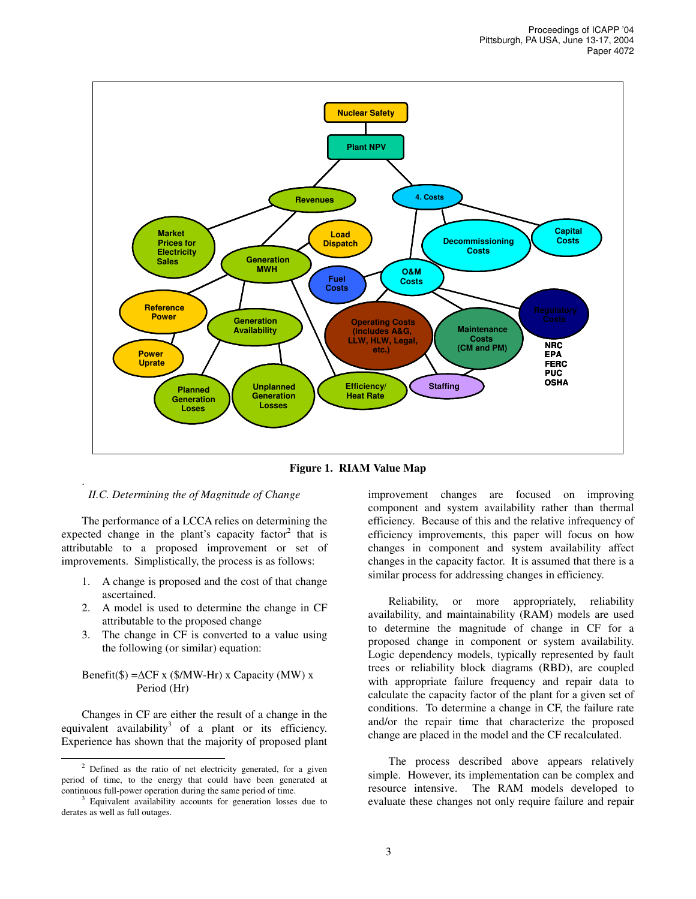

**Figure 1. RIAM Value Map**

### *II.C. Determining the of Magnitude of Change*

.

The performance of a LCCA relies on determining the expected change in the plant's capacity factor<sup>2</sup> that is attributable to a proposed improvement or set of improvements. Simplistically, the process is as follows:

- 1. A change is proposed and the cost of that change ascertained.
- 2. A model is used to determine the change in CF attributable to the proposed change
- 3. The change in CF is converted to a value using the following (or similar) equation:

## Benefit(\$) = $\Delta CF$  x (\$/MW-Hr) x Capacity (MW) x Period (Hr)

Changes in CF are either the result of a change in the equivalent availability<sup>3</sup> of a plant or its efficiency. Experience has shown that the majority of proposed plant

improvement changes are focused on improving component and system availability rather than thermal efficiency. Because of this and the relative infrequency of efficiency improvements, this paper will focus on how changes in component and system availability affect changes in the capacity factor. It is assumed that there is a similar process for addressing changes in efficiency.

Reliability, or more appropriately, reliability availability, and maintainability (RAM) models are used to determine the magnitude of change in CF for a proposed change in component or system availability. Logic dependency models, typically represented by fault trees or reliability block diagrams (RBD), are coupled with appropriate failure frequency and repair data to calculate the capacity factor of the plant for a given set of conditions. To determine a change in CF, the failure rate and/or the repair time that characterize the proposed change are placed in the model and the CF recalculated.

The process described above appears relatively simple. However, its implementation can be complex and resource intensive. The RAM models developed to evaluate these changes not only require failure and repair

 $2$  Defined as the ratio of net electricity generated, for a given period of time, to the energy that could have been generated at continuous full-power operation during the same period of time.

<sup>&</sup>lt;sup>3</sup> Equivalent availability accounts for generation losses due to derates as well as full outages.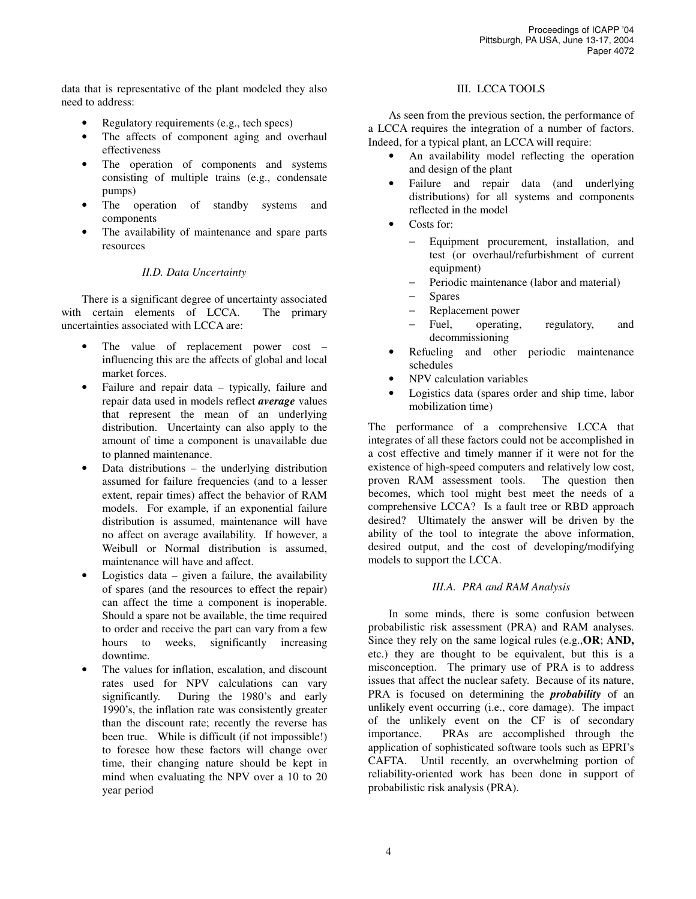data that is representative of the plant modeled they also need to address:

- Regulatory requirements (e.g., tech specs)
- The affects of component aging and overhaul effectiveness
- The operation of components and systems consisting of multiple trains (e.g., condensate pumps)
- The operation of standby systems and components
- The availability of maintenance and spare parts resources

## *II.D. Data Uncertainty*

There is a significant degree of uncertainty associated with certain elements of LCCA. The primary uncertainties associated with LCCA are:

- The value of replacement power cost influencing this are the affects of global and local market forces.
- Failure and repair data typically, failure and repair data used in models reflect *average* values that represent the mean of an underlying distribution. Uncertainty can also apply to the amount of time a component is unavailable due to planned maintenance.
- Data distributions  $-$  the underlying distribution assumed for failure frequencies (and to a lesser extent, repair times) affect the behavior of RAM models. For example, if an exponential failure distribution is assumed, maintenance will have no affect on average availability. If however, a Weibull or Normal distribution is assumed, maintenance will have and affect.
- Logistics data  $-$  given a failure, the availability of spares (and the resources to effect the repair) can affect the time a component is inoperable. Should a spare not be available, the time required to order and receive the part can vary from a few hours to weeks, significantly increasing downtime.
- The values for inflation, escalation, and discount rates used for NPV calculations can vary significantly. During the 1980's and early 1990's, the inflation rate was consistently greater than the discount rate; recently the reverse has been true. While is difficult (if not impossible!) to foresee how these factors will change over time, their changing nature should be kept in mind when evaluating the NPV over a 10 to 20 year period

## III. LCCA TOOLS

As seen from the previous section, the performance of a LCCA requires the integration of a number of factors. Indeed, for a typical plant, an LCCA will require:

- An availability model reflecting the operation and design of the plant
- Failure and repair data (and underlying distributions) for all systems and components reflected in the model
- Costs for:
	- − Equipment procurement, installation, and test (or overhaul/refurbishment of current equipment)
	- − Periodic maintenance (labor and material)
	- − Spares
	- − Replacement power
	- Fuel, operating, regulatory, and decommissioning
- Refueling and other periodic maintenance schedules
- NPV calculation variables
- Logistics data (spares order and ship time, labor mobilization time)

The performance of a comprehensive LCCA that integrates of all these factors could not be accomplished in a cost effective and timely manner if it were not for the existence of high-speed computers and relatively low cost, proven RAM assessment tools. The question then becomes, which tool might best meet the needs of a comprehensive LCCA? Is a fault tree or RBD approach desired? Ultimately the answer will be driven by the ability of the tool to integrate the above information, desired output, and the cost of developing/modifying models to support the LCCA.

#### *III.A. PRA and RAM Analysis*

In some minds, there is some confusion between probabilistic risk assessment (PRA) and RAM analyses. Since they rely on the same logical rules (e.g.,**OR**; **AND,** etc.) they are thought to be equivalent, but this is a misconception. The primary use of PRA is to address issues that affect the nuclear safety. Because of its nature, PRA is focused on determining the *probability* of an unlikely event occurring (i.e., core damage). The impact of the unlikely event on the CF is of secondary importance. PRAs are accomplished through the application of sophisticated software tools such as EPRI's CAFTA. Until recently, an overwhelming portion of reliability-oriented work has been done in support of probabilistic risk analysis (PRA).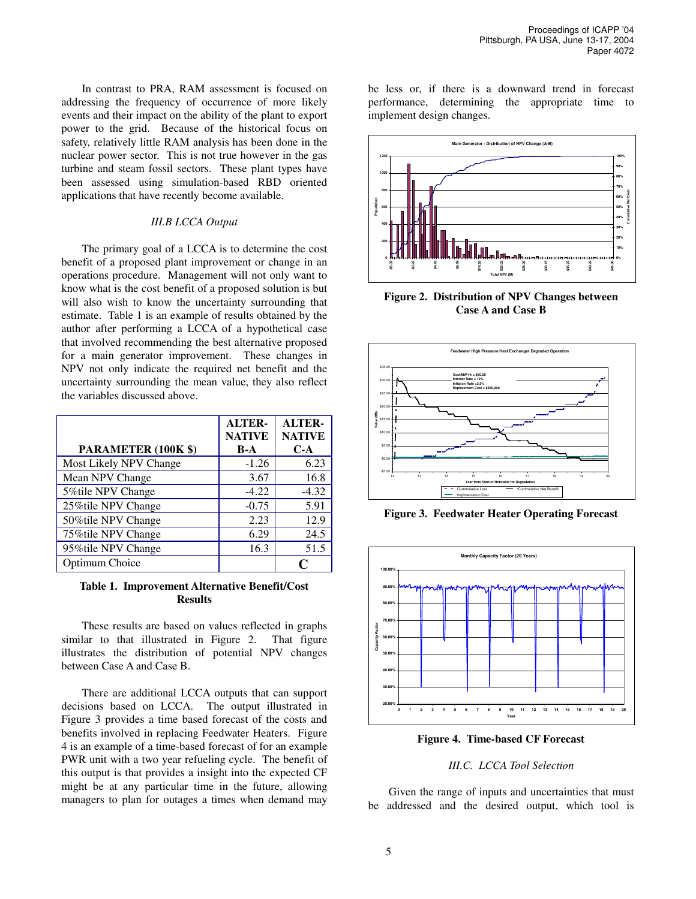In contrast to PRA, RAM assessment is focused on addressing the frequency of occurrence of more likely events and their impact on the ability of the plant to export power to the grid. Because of the historical focus on safety, relatively little RAM analysis has been done in the nuclear power sector. This is not true however in the gas turbine and steam fossil sectors. These plant types have been assessed using simulation-based RBD oriented applications that have recently become available.

#### *III.B LCCA Output*

The primary goal of a LCCA is to determine the cost benefit of a proposed plant improvement or change in an operations procedure. Management will not only want to know what is the cost benefit of a proposed solution is but will also wish to know the uncertainty surrounding that estimate. Table 1 is an example of results obtained by the author after performing a LCCA of a hypothetical case that involved recommending the best alternative proposed for a main generator improvement. These changes in NPV not only indicate the required net benefit and the uncertainty surrounding the mean value, they also reflect the variables discussed above.

|                            | <b>ALTER-</b><br><b>NATIVE</b> | <b>ALTER-</b><br><b>NATIVE</b> |
|----------------------------|--------------------------------|--------------------------------|
| <b>PARAMETER (100K \$)</b> | $B-A$                          | $C-A$                          |
| Most Likely NPV Change     | $-1.26$                        | 6.23                           |
| Mean NPV Change            | 3.67                           | 16.8                           |
| 5%tile NPV Change          | $-4.22$                        | $-4.32$                        |
| 25% tile NPV Change        | $-0.75$                        | 5.91                           |
| 50%tile NPV Change         | 2.23                           | 12.9                           |
| 75% tile NPV Change        | 6.29                           | 24.5                           |
| 95%tile NPV Change         | 16.3                           | 51.5                           |
| Optimum Choice             |                                | O                              |

#### **Table 1. Improvement Alternative Benefit/Cost Results**

These results are based on values reflected in graphs similar to that illustrated in Figure 2. That figure illustrates the distribution of potential NPV changes between Case A and Case B.

There are additional LCCA outputs that can support decisions based on LCCA. The output illustrated in Figure 3 provides a time based forecast of the costs and benefits involved in replacing Feedwater Heaters. Figure 4 is an example of a time-based forecast of for an example PWR unit with a two year refueling cycle. The benefit of this output is that provides a insight into the expected CF might be at any particular time in the future, allowing managers to plan for outages a times when demand may

be less or, if there is a downward trend in forecast performance, determining the appropriate time to implement design changes.



**Figure 2. Distribution of NPV Changes between Case A and Case B**



**Figure 3. Feedwater Heater Operating Forecast**



**Figure 4. Time-based CF Forecast**

#### *III.C. LCCA Tool Selection*

Given the range of inputs and uncertainties that must be addressed and the desired output, which tool is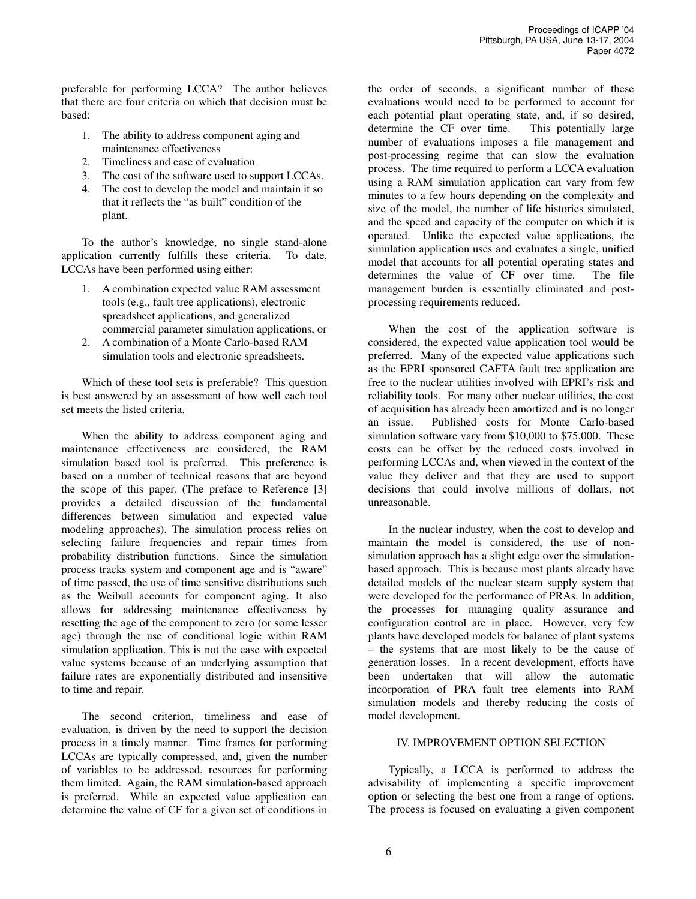preferable for performing LCCA? The author believes that there are four criteria on which that decision must be based:

- 1. The ability to address component aging and maintenance effectiveness
- 2. Timeliness and ease of evaluation
- 3. The cost of the software used to support LCCAs.
- 4. The cost to develop the model and maintain it so that it reflects the "as built" condition of the plant.

To the author's knowledge, no single stand-alone application currently fulfills these criteria. To date, LCCAs have been performed using either:

- 1. A combination expected value RAM assessment tools (e.g., fault tree applications), electronic spreadsheet applications, and generalized commercial parameter simulation applications, or
- 2. A combination of a Monte Carlo-based RAM simulation tools and electronic spreadsheets.

Which of these tool sets is preferable? This question is best answered by an assessment of how well each tool set meets the listed criteria.

When the ability to address component aging and maintenance effectiveness are considered, the RAM simulation based tool is preferred. This preference is based on a number of technical reasons that are beyond the scope of this paper. (The preface to Reference [3] provides a detailed discussion of the fundamental differences between simulation and expected value modeling approaches). The simulation process relies on selecting failure frequencies and repair times from probability distribution functions. Since the simulation process tracks system and component age and is "aware" of time passed, the use of time sensitive distributions such as the Weibull accounts for component aging. It also allows for addressing maintenance effectiveness by resetting the age of the component to zero (or some lesser age) through the use of conditional logic within RAM simulation application. This is not the case with expected value systems because of an underlying assumption that failure rates are exponentially distributed and insensitive to time and repair.

The second criterion, timeliness and ease of evaluation, is driven by the need to support the decision process in a timely manner. Time frames for performing LCCAs are typically compressed, and, given the number of variables to be addressed, resources for performing them limited. Again, the RAM simulation-based approach is preferred. While an expected value application can determine the value of CF for a given set of conditions in

the order of seconds, a significant number of these evaluations would need to be performed to account for each potential plant operating state, and, if so desired, determine the CF over time. This potentially large number of evaluations imposes a file management and post-processing regime that can slow the evaluation process. The time required to perform a LCCA evaluation using a RAM simulation application can vary from few minutes to a few hours depending on the complexity and size of the model, the number of life histories simulated, and the speed and capacity of the computer on which it is operated. Unlike the expected value applications, the simulation application uses and evaluates a single, unified model that accounts for all potential operating states and determines the value of CF over time. The file management burden is essentially eliminated and postprocessing requirements reduced.

When the cost of the application software is considered, the expected value application tool would be preferred. Many of the expected value applications such as the EPRI sponsored CAFTA fault tree application are free to the nuclear utilities involved with EPRI's risk and reliability tools. For many other nuclear utilities, the cost of acquisition has already been amortized and is no longer an issue. Published costs for Monte Carlo-based simulation software vary from \$10,000 to \$75,000. These costs can be offset by the reduced costs involved in performing LCCAs and, when viewed in the context of the value they deliver and that they are used to support decisions that could involve millions of dollars, not unreasonable.

In the nuclear industry, when the cost to develop and maintain the model is considered, the use of nonsimulation approach has a slight edge over the simulationbased approach. This is because most plants already have detailed models of the nuclear steam supply system that were developed for the performance of PRAs. In addition, the processes for managing quality assurance and configuration control are in place. However, very few plants have developed models for balance of plant systems – the systems that are most likely to be the cause of generation losses. In a recent development, efforts have been undertaken that will allow the automatic incorporation of PRA fault tree elements into RAM simulation models and thereby reducing the costs of model development.

## IV. IMPROVEMENT OPTION SELECTION

Typically, a LCCA is performed to address the advisability of implementing a specific improvement option or selecting the best one from a range of options. The process is focused on evaluating a given component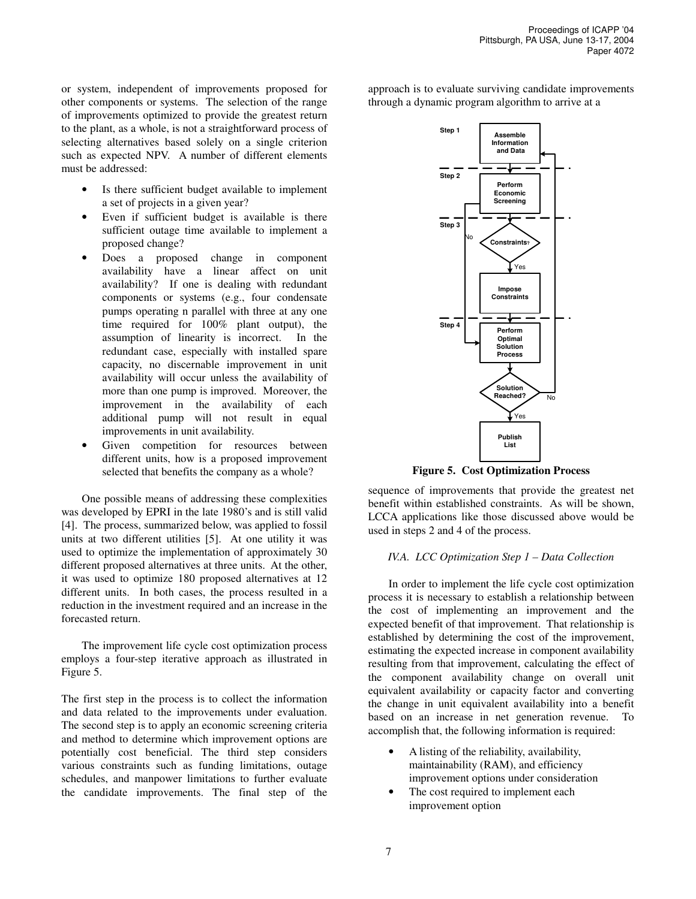or system, independent of improvements proposed for other components or systems. The selection of the range of improvements optimized to provide the greatest return to the plant, as a whole, is not a straightforward process of selecting alternatives based solely on a single criterion such as expected NPV. A number of different elements must be addressed:

- Is there sufficient budget available to implement a set of projects in a given year?
- Even if sufficient budget is available is there sufficient outage time available to implement a proposed change?
- Does a proposed change in component availability have a linear affect on unit availability? If one is dealing with redundant components or systems (e.g., four condensate pumps operating n parallel with three at any one time required for 100% plant output), the assumption of linearity is incorrect. In the redundant case, especially with installed spare capacity, no discernable improvement in unit availability will occur unless the availability of more than one pump is improved. Moreover, the improvement in the availability of each additional pump will not result in equal improvements in unit availability.
- Given competition for resources between different units, how is a proposed improvement selected that benefits the company as a whole?

One possible means of addressing these complexities was developed by EPRI in the late 1980's and is still valid [4]. The process, summarized below, was applied to fossil units at two different utilities [5]. At one utility it was used to optimize the implementation of approximately 30 different proposed alternatives at three units. At the other, it was used to optimize 180 proposed alternatives at 12 different units. In both cases, the process resulted in a reduction in the investment required and an increase in the forecasted return.

The improvement life cycle cost optimization process employs a four-step iterative approach as illustrated in Figure 5.

The first step in the process is to collect the information and data related to the improvements under evaluation. The second step is to apply an economic screening criteria and method to determine which improvement options are potentially cost beneficial. The third step considers various constraints such as funding limitations, outage schedules, and manpower limitations to further evaluate the candidate improvements. The final step of the approach is to evaluate surviving candidate improvements through a dynamic program algorithm to arrive at a



**Figure 5. Cost Optimization Process**

sequence of improvements that provide the greatest net benefit within established constraints. As will be shown, LCCA applications like those discussed above would be used in steps 2 and 4 of the process.

#### *IV.A. LCC Optimization Step 1 – Data Collection*

In order to implement the life cycle cost optimization process it is necessary to establish a relationship between the cost of implementing an improvement and the expected benefit of that improvement. That relationship is established by determining the cost of the improvement, estimating the expected increase in component availability resulting from that improvement, calculating the effect of the component availability change on overall unit equivalent availability or capacity factor and converting the change in unit equivalent availability into a benefit based on an increase in net generation revenue. To accomplish that, the following information is required:

- A listing of the reliability, availability, maintainability (RAM), and efficiency improvement options under consideration
- The cost required to implement each improvement option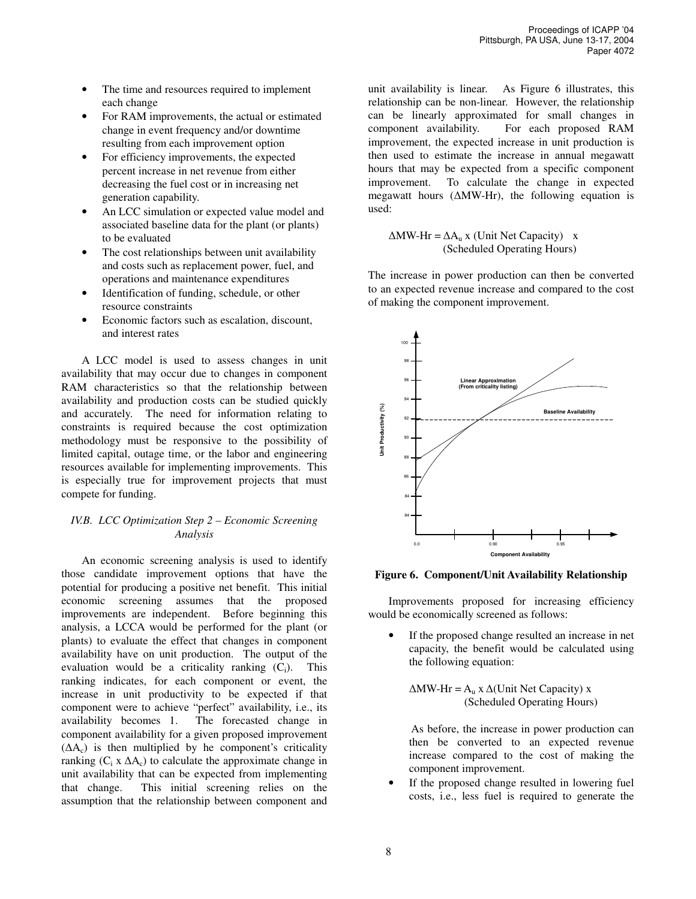- The time and resources required to implement each change
- For RAM improvements, the actual or estimated change in event frequency and/or downtime resulting from each improvement option
- For efficiency improvements, the expected percent increase in net revenue from either decreasing the fuel cost or in increasing net generation capability.
- An LCC simulation or expected value model and associated baseline data for the plant (or plants) to be evaluated
- The cost relationships between unit availability and costs such as replacement power, fuel, and operations and maintenance expenditures
- Identification of funding, schedule, or other resource constraints
- Economic factors such as escalation, discount, and interest rates

A LCC model is used to assess changes in unit availability that may occur due to changes in component RAM characteristics so that the relationship between availability and production costs can be studied quickly and accurately. The need for information relating to constraints is required because the cost optimization methodology must be responsive to the possibility of limited capital, outage time, or the labor and engineering resources available for implementing improvements. This is especially true for improvement projects that must compete for funding.

## *IV.B. LCC Optimization Step 2 – Economic Screening Analysis*

An economic screening analysis is used to identify those candidate improvement options that have the potential for producing a positive net benefit. This initial economic screening assumes that the proposed improvements are independent. Before beginning this analysis, a LCCA would be performed for the plant (or plants) to evaluate the effect that changes in component availability have on unit production. The output of the evaluation would be a criticality ranking  $(C_i)$ . This ranking indicates, for each component or event, the increase in unit productivity to be expected if that component were to achieve "perfect" availability, i.e., its availability becomes 1. The forecasted change in component availability for a given proposed improvement  $( \Delta A_c )$  is then multiplied by he component's criticality ranking  $(C_i \times \Delta A_c)$  to calculate the approximate change in unit availability that can be expected from implementing that change. This initial screening relies on the assumption that the relationship between component and

unit availability is linear. As Figure 6 illustrates, this relationship can be non-linear. However, the relationship can be linearly approximated for small changes in component availability. For each proposed RAM improvement, the expected increase in unit production is then used to estimate the increase in annual megawatt hours that may be expected from a specific component improvement. To calculate the change in expected megawatt hours  $(\Delta MW-Hr)$ , the following equation is used:

 $\Delta$ MW-Hr =  $\Delta$ A<sub>u</sub> x (Unit Net Capacity) x (Scheduled Operating Hours)

The increase in power production can then be converted to an expected revenue increase and compared to the cost of making the component improvement.



**Figure 6. Component/Unit Availability Relationship**

Improvements proposed for increasing efficiency would be economically screened as follows:

If the proposed change resulted an increase in net capacity, the benefit would be calculated using the following equation:

$$
\Delta MW \cdot Hr = A_u \times \Delta(Unit Net Capacity) \times
$$
  
(Scheduled Operating Hours)

As before, the increase in power production can then be converted to an expected revenue increase compared to the cost of making the component improvement.

If the proposed change resulted in lowering fuel costs, i.e., less fuel is required to generate the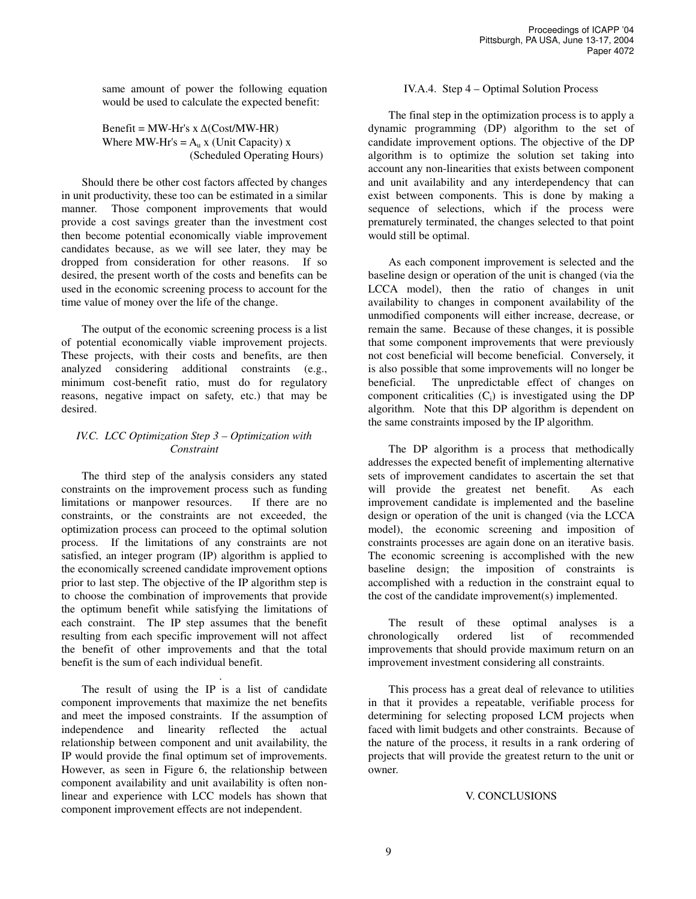same amount of power the following equation would be used to calculate the expected benefit:

## Benefit = MW-Hr's  $x \Delta(Cost/MW-HR)$ Where MW-Hr's  $= A<sub>u</sub> x$  (Unit Capacity) x (Scheduled Operating Hours)

Should there be other cost factors affected by changes in unit productivity, these too can be estimated in a similar manner. Those component improvements that would provide a cost savings greater than the investment cost then become potential economically viable improvement candidates because, as we will see later, they may be dropped from consideration for other reasons. If so desired, the present worth of the costs and benefits can be used in the economic screening process to account for the time value of money over the life of the change.

The output of the economic screening process is a list of potential economically viable improvement projects. These projects, with their costs and benefits, are then analyzed considering additional constraints (e.g., minimum cost-benefit ratio, must do for regulatory reasons, negative impact on safety, etc.) that may be desired.

# *IV.C. LCC Optimization Step 3 – Optimization with Constraint*

The third step of the analysis considers any stated constraints on the improvement process such as funding limitations or manpower resources. If there are no constraints, or the constraints are not exceeded, the optimization process can proceed to the optimal solution process. If the limitations of any constraints are not satisfied, an integer program (IP) algorithm is applied to the economically screened candidate improvement options prior to last step. The objective of the IP algorithm step is to choose the combination of improvements that provide the optimum benefit while satisfying the limitations of each constraint. The IP step assumes that the benefit resulting from each specific improvement will not affect the benefit of other improvements and that the total benefit is the sum of each individual benefit.

The result of using the IP is a list of candidate component improvements that maximize the net benefits and meet the imposed constraints. If the assumption of independence and linearity reflected the actual relationship between component and unit availability, the IP would provide the final optimum set of improvements. However, as seen in Figure 6, the relationship between component availability and unit availability is often nonlinear and experience with LCC models has shown that component improvement effects are not independent.

.

## IV.A.4. Step 4 – Optimal Solution Process

The final step in the optimization process is to apply a dynamic programming (DP) algorithm to the set of candidate improvement options. The objective of the DP algorithm is to optimize the solution set taking into account any non-linearities that exists between component and unit availability and any interdependency that can exist between components. This is done by making a sequence of selections, which if the process were prematurely terminated, the changes selected to that point would still be optimal.

As each component improvement is selected and the baseline design or operation of the unit is changed (via the LCCA model), then the ratio of changes in unit availability to changes in component availability of the unmodified components will either increase, decrease, or remain the same. Because of these changes, it is possible that some component improvements that were previously not cost beneficial will become beneficial. Conversely, it is also possible that some improvements will no longer be beneficial. The unpredictable effect of changes on component criticalities  $(C_i)$  is investigated using the DP algorithm. Note that this DP algorithm is dependent on the same constraints imposed by the IP algorithm.

The DP algorithm is a process that methodically addresses the expected benefit of implementing alternative sets of improvement candidates to ascertain the set that will provide the greatest net benefit. As each improvement candidate is implemented and the baseline design or operation of the unit is changed (via the LCCA model), the economic screening and imposition of constraints processes are again done on an iterative basis. The economic screening is accomplished with the new baseline design; the imposition of constraints is accomplished with a reduction in the constraint equal to the cost of the candidate improvement(s) implemented.

The result of these optimal analyses is a chronologically ordered list of recommended improvements that should provide maximum return on an improvement investment considering all constraints.

This process has a great deal of relevance to utilities in that it provides a repeatable, verifiable process for determining for selecting proposed LCM projects when faced with limit budgets and other constraints. Because of the nature of the process, it results in a rank ordering of projects that will provide the greatest return to the unit or owner.

#### V. CONCLUSIONS